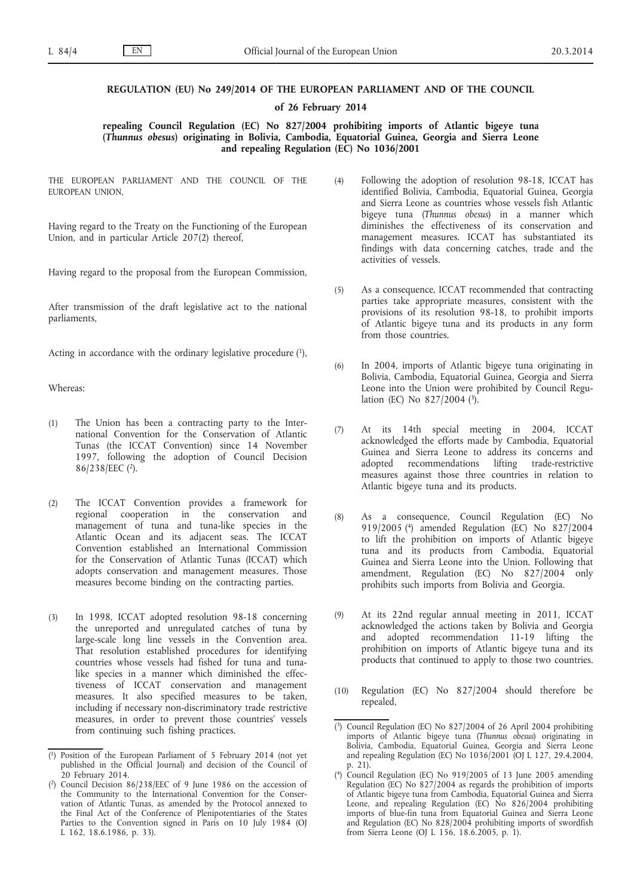## **REGULATION (EU) No 249/2014 OF THE EUROPEAN PARLIAMENT AND OF THE COUNCIL**

## **of 26 February 2014**

**repealing Council Regulation (EC) No 827/2004 prohibiting imports of Atlantic bigeye tuna (***Thunnus obesus***) originating in Bolivia, Cambodia, Equatorial Guinea, Georgia and Sierra Leone and repealing Regulation (EC) No 1036/2001**

THE EUROPEAN PARLIAMENT AND THE COUNCIL OF THE EUROPEAN UNION,

Having regard to the Treaty on the Functioning of the European Union, and in particular Article 207(2) thereof,

Having regard to the proposal from the European Commission,

After transmission of the draft legislative act to the national parliaments,

Acting in accordance with the ordinary legislative procedure  $(1)$ ,

Whereas:

- (1) The Union has been a contracting party to the International Convention for the Conservation of Atlantic Tunas (the ICCAT Convention) since 14 November 1997, following the adoption of Council Decision 86/238/EEC (2).
- (2) The ICCAT Convention provides a framework for regional cooperation in the conservation and management of tuna and tuna-like species in the Atlantic Ocean and its adjacent seas. The ICCAT Convention established an International Commission for the Conservation of Atlantic Tunas (ICCAT) which adopts conservation and management measures. Those measures become binding on the contracting parties.
- (3) In 1998, ICCAT adopted resolution 98-18 concerning the unreported and unregulated catches of tuna by large-scale long line vessels in the Convention area. That resolution established procedures for identifying countries whose vessels had fished for tuna and tunalike species in a manner which diminished the effectiveness of ICCAT conservation and management measures. It also specified measures to be taken, including if necessary non-discriminatory trade restrictive measures, in order to prevent those countries' vessels from continuing such fishing practices.
- (4) Following the adoption of resolution 98-18, ICCAT has identified Bolivia, Cambodia, Equatorial Guinea, Georgia and Sierra Leone as countries whose vessels fish Atlantic bigeye tuna (*Thunnus obesus*) in a manner which diminishes the effectiveness of its conservation and management measures. ICCAT has substantiated its findings with data concerning catches, trade and the activities of vessels.
- (5) As a consequence, ICCAT recommended that contracting parties take appropriate measures, consistent with the provisions of its resolution 98-18, to prohibit imports of Atlantic bigeye tuna and its products in any form from those countries.
- (6) In 2004, imports of Atlantic bigeye tuna originating in Bolivia, Cambodia, Equatorial Guinea, Georgia and Sierra Leone into the Union were prohibited by Council Regulation (EC) No 827/2004 (3).
- (7) At its 14th special meeting in 2004, ICCAT acknowledged the efforts made by Cambodia, Equatorial Guinea and Sierra Leone to address its concerns and adopted recommendations lifting trade-restrictive measures against those three countries in relation to Atlantic bigeye tuna and its products.
- (8) As a consequence, Council Regulation (EC) No 919/2005 (4) amended Regulation (EC) No 827/2004 to lift the prohibition on imports of Atlantic bigeye tuna and its products from Cambodia, Equatorial Guinea and Sierra Leone into the Union. Following that amendment, Regulation (EC) No 827/2004 only prohibits such imports from Bolivia and Georgia.
- (9) At its 22nd regular annual meeting in 2011, ICCAT acknowledged the actions taken by Bolivia and Georgia and adopted recommendation 11-19 lifting the prohibition on imports of Atlantic bigeye tuna and its products that continued to apply to those two countries.
- (10) Regulation (EC) No 827/2004 should therefore be repealed,

<sup>(</sup> 1) Position of the European Parliament of 5 February 2014 (not yet published in the Official Journal) and decision of the Council of 20 February 2014.

<sup>(</sup> 2) Council Decision 86/238/EEC of 9 June 1986 on the accession of the Community to the International Convention for the Conservation of Atlantic Tunas, as amended by the Protocol annexed to the Final Act of the Conference of Plenipotentiaries of the States Parties to the Convention signed in Paris on 10 July 1984 (OJ L 162, 18.6.1986, p. 33).

<sup>(</sup> 3) Council Regulation (EC) No 827/2004 of 26 April 2004 prohibiting imports of Atlantic bigeye tuna (*Thunnus obesus*) originating in Bolivia, Cambodia, Equatorial Guinea, Georgia and Sierra Leone and repealing Regulation (EC) No 1036/2001 (OJ L 127, 29.4.2004, p. 21).

 $(4)$ 4) Council Regulation (EC) No 919/2005 of 13 June 2005 amending Regulation (EC) No  $827/2004$  as regards the prohibition of imports of Atlantic bigeye tuna from Cambodia, Equatorial Guinea and Sierra Leone, and repealing Regulation (EC) No 826/2004 prohibiting imports of blue-fin tuna from Equatorial Guinea and Sierra Leone and Regulation (EC) No 828/2004 prohibiting imports of swordfish from Sierra Leone (OJ L 156, 18.6.2005, p. 1).